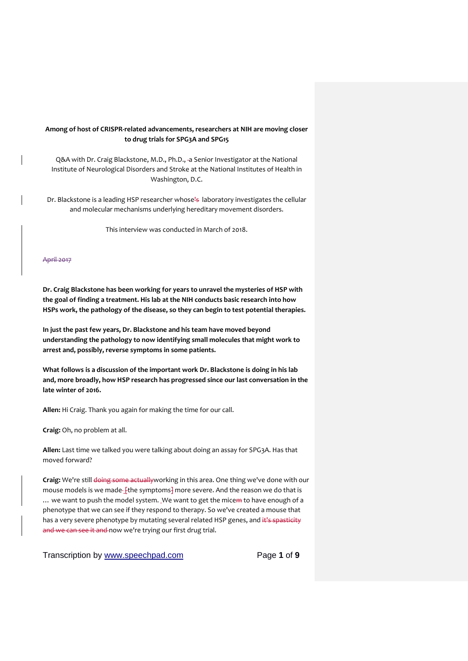# **Among of host of CRISPR-related advancements, researchers at NIH are moving closer to drug trials for SPG3A and SPG15**

Q&A with Dr. Craig Blackstone, M.D., Ph.D., -a Senior Investigator at the National Institute of Neurological Disorders and Stroke at the National Institutes of Health in Washington, D.C.

Dr. Blackstone is a leading HSP researcher whose<sup>1</sup>s laboratory investigates the cellular and molecular mechanisms underlying hereditary movement disorders.

This interview was conducted in March of 2018.

#### April 2017

**Dr. Craig Blackstone has been working for years to unravel the mysteries of HSP with the goal of finding a treatment. His lab at the NIH conducts basic research into how HSPs work, the pathology of the disease, so they can begin to test potential therapies.**

**In just the past few years, Dr. Blackstone and his team have moved beyond understanding the pathology to now identifying small molecules that might work to arrest and, possibly, reverse symptoms in some patients.**

**What follows is a discussion of the important work Dr. Blackstone is doing in his lab and, more broadly, how HSP research has progressed since our last conversation in the late winter of 2016.**

**Allen:** Hi Craig. Thank you again for making the time for our call.

**Craig:** Oh, no problem at all.

**Allen:** Last time we talked you were talking about doing an assay for SPG3A. Has that moved forward?

**Craig:** We're still doing some actuallyworking in this area. One thing we've done with our mouse models is we made-[the symptoms] more severe. And the reason we do that is ... we want to push the model system. We want to get the micem to have enough of a phenotype that we can see if they respond to therapy. So we've created a mouse that has a very severe phenotype by mutating several related HSP genes, and it's spasticity and we can see it and now we're trying our first drug trial.

Transcription by [www.speechpad.com](http://www.speechpad.com/) Page **1** of **9**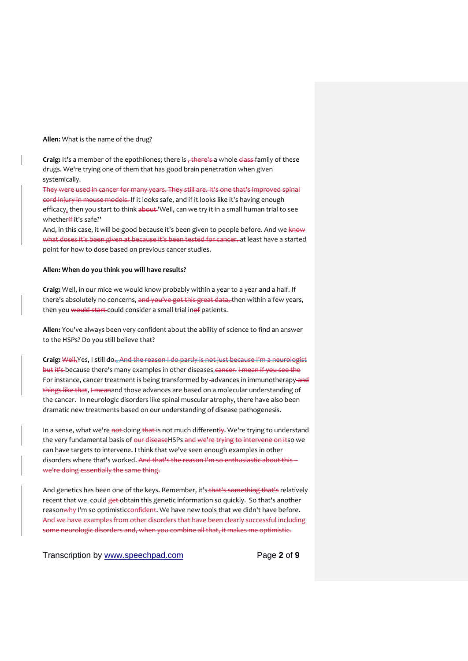**Allen:** What is the name of the drug?

**Craig:** It's a member of the epothilones; there is  $\frac{1}{2}$  there's a whole class family of these drugs. We're trying one of them that has good brain penetration when given systemically.

They were used in cancer for many years. They still are. It's one that's improved spinal cord injury in mouse models. If it looks safe, and if it looks like it's having enough efficacy, then you start to think about 'Well, can we try it in a small human trial to see whether#it's safe?'

And, in this case, it will be good because it's been given to people before. And we know what doses it's been given at because it's been tested for cancer. at least have a started point for how to dose based on previous cancer studies.

#### **Allen: When do you think you will have results?**

**Craig:** Well, in our mice we would know probably within a year to a year and a half. If there's absolutely no concerns, and you've got this great data, then within a few years, then you would start-could consider a small trial inof patients.

**Allen:** You've always been very confident about the ability of science to find an answer to the HSPs? Do you still believe that?

Craig: Well, Yes, I still do., And the reason I do partly is not just because I'm a neurologist but it's because there's many examples in other diseases. cancer. I mean if you see the For instance, cancer treatment is being transformed by -advances in immunotherapy-and things like that, I meanand those advances are based on a molecular understanding of the cancer. In neurologic disorders like spinal muscular atrophy, there have also been dramatic new treatments based on our understanding of disease pathogenesis.

In a sense, what we're not doing that is not much differently. We're trying to understand the very fundamental basis of our diseaseHSPs and we're trying to intervene on itso we can have targets to intervene. I think that we've seen enough examples in other disorders where that's worked. And that's the reason I'm so enthusiastic about this we're doing essentially the same thing.

And genetics has been one of the keys. Remember, it's that's something that's relatively recent that we\_could get obtain this genetic information so quickly. So that's another reasonwhy I'm so optimisticeonfident. We have new tools that we didn't have before. And we have examples from other disorders that have been clearly successful including some neurologic disorders and, when you combine all that, it makes me optimistic.

Transcription by [www.speechpad.com](http://www.speechpad.com/) Page **2** of **9**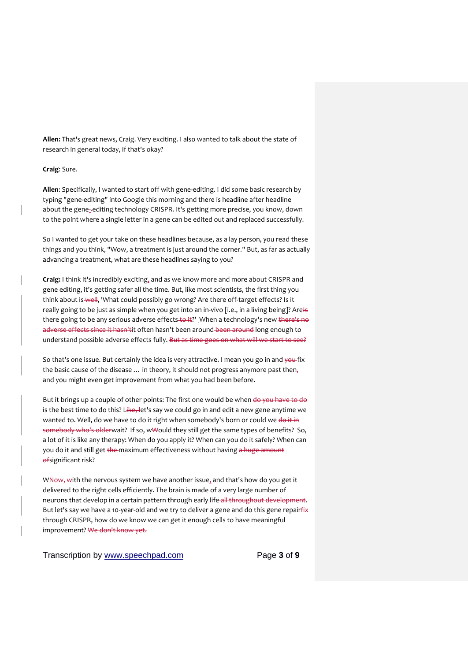**Allen:** That's great news, Craig. Very exciting. I also wanted to talk about the state of research in general today, if that's okay?

## **Craig**: Sure.

**Allen**: Specifically, I wanted to start off with gene-editing. I did some basic research by typing "gene-editing" into Google this morning and there is headline after headline about the gene-editing technology CRISPR. It's getting more precise, you know, down to the point where a single letter in a gene can be edited out and replaced successfully.

So I wanted to get your take on these headlines because, as a lay person, you read these things and you think, "Wow, a treatment is just around the corner." But, as far as actually advancing a treatment, what are these headlines saying to you?

**Craig:** I think it's incredibly exciting, and as we know more and more about CRISPR and gene editing, it's getting safer all the time. But, like most scientists, the first thing you think about is well. 'What could possibly go wrong? Are there off-target effects? Is it really going to be just as simple when you get into an in-vivo [i.e., in a living being]? AreHs there going to be any serious adverse effects to it?' When a technology's new there's no adverse effects since it hasn'tit often hasn't been around been around long enough to understand possible adverse effects fully. But as time goes on what will we start to see?

So that's one issue. But certainly the idea is very attractive. I mean you go in and you fix the basic cause of the disease ... in theory, it should not progress anymore past then, and you might even get improvement from what you had been before.

But it brings up a couple of other points: The first one would be when do you have to do is the best time to do this? Like, let's say we could go in and edit a new gene anytime we wanted to. Well, do we have to do it right when somebody's born or could we do it in somebody who's olderwait? If so, w\vould they still get the same types of benefits? So, a lot of it is like any therapy: When do you apply it? When can you do it safely? When can you do it and still get the maximum effectiveness without having a huge amount ofsignificant risk?

WNow, with the nervous system we have another issue, and that's how do you get it delivered to the right cells efficiently. The brain is made of a very large number of neurons that develop in a certain pattern through early life all throughout development. But let's say we have a 10-year-old and we try to deliver a gene and do this gene repairfix through CRISPR, how do we know we can get it enough cells to have meaningful improvement? We don't know yet.

Transcription by [www.speechpad.com](http://www.speechpad.com/) Page **3** of **9**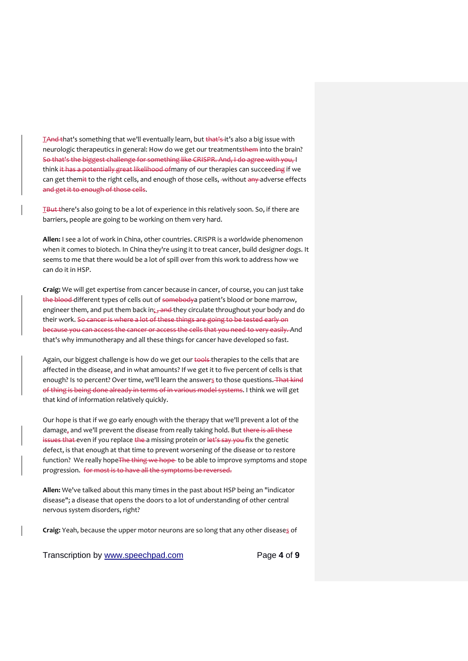TAnd that's something that we'll eventually learn, but that's it's also a big issue with neurologic therapeutics in general: How do we get our treatmentsthem into the brain? So that's the biggest challenge for something like CRISPR. And, I do agree with you, I think it has a potentially great likelihood of many of our therapies can succeeding if we can get themit to the right cells, and enough of those cells, -without any adverse effects and get it to enough of those cells.

TBut there's also going to be a lot of experience in this relatively soon. So, if there are barriers, people are going to be working on them very hard.

**Allen:** I see a lot of work in China, other countries. CRISPR is a worldwide phenomenon when it comes to biotech. In China they're using it to treat cancer, build designer dogs. It seems to me that there would be a lot of spill over from this work to address how we can do it in HSP.

**Craig:** We will get expertise from cancer because in cancer, of course, you can just take the blood different types of cells out of somebodya patient's blood or bone marrow. engineer them, and put them back in; and they circulate throughout your body and do their work. So cancer is where a lot of these things are going to be tested early on because you can access the cancer or access the cells that you need to very easily. And that's why immunotherapy and all these things for cancer have developed so fast.

Again, our biggest challenge is how do we get our tools therapies to the cells that are affected in the disease, and in what amounts? If we get it to five percent of cells is that enough? Is 10 percent? Over time, we'll learn the answers to those questions. That kind of thing is being done already in terms of in various model systems. I think we will get that kind of information relatively quickly.

Our hope is that if we go early enough with the therapy that we'll prevent a lot of the damage, and we'll prevent the disease from really taking hold. But there is all these issues that even if you replace the a missing protein or let's say you fix the genetic defect, is that enough at that time to prevent worsening of the disease or to restore function? We really hope The thing we hope to be able to improve symptoms and stope progression. for most is to have all the symptoms be reversed.

**Allen:** We've talked about this many times in the past about HSP being an "indicator disease"; a disease that opens the doors to a lot of understanding of other central nervous system disorders, right?

**Craig:** Yeah, because the upper motor neurons are so long that any other diseases of

Transcription by [www.speechpad.com](http://www.speechpad.com/) Page **4** of **9**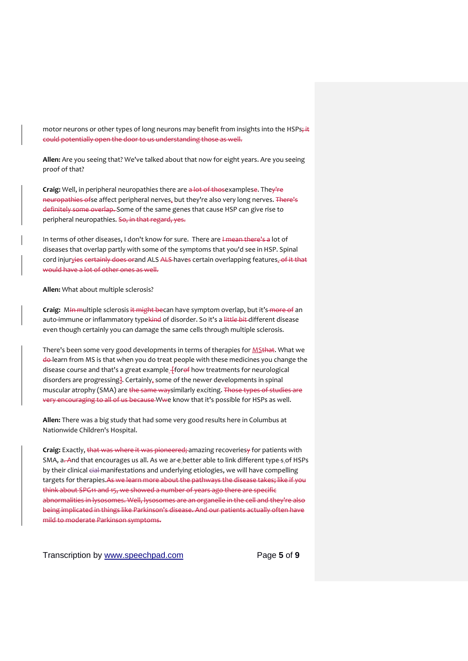motor neurons or other types of long neurons may benefit from insights into the HSPs; it could potentially open the door to us understanding those as well.

**Allen:** Are you seeing that? We've talked about that now for eight years. Are you seeing proof of that?

**Craig:** Well, in peripheral neuropathies there are a lot of thosexamplese. They're neuropathies ofse affect peripheral nerves, but they're also very long nerves. There's definitely some overlap. Some of the same genes that cause HSP can give rise to peripheral neuropathies. So, in that regard, yes.

In terms of other diseases, I don't know for sure. There are I mean there's a lot of diseases that overlap partly with some of the symptoms that you'd see in HSP. Spinal cord injurvies certainly does orand ALS ALS haves certain overlapping features. of it that would have a lot of other ones as well.

### **Allen:** What about multiple sclerosis?

Craig: MIn multiple sclerosis it might becan have symptom overlap, but it's more of an auto-immune or inflammatory typekind of disorder. So it's a littl*e bit* different disease even though certainly you can damage the same cells through multiple sclerosis.

There's been some very good developments in terms of therapies for **MSthat**. What we do learn from MS is that when you do treat people with these medicines you change the disease course and that's a great example\_fforef how treatments for neurological disorders are progressing]. Certainly, some of the newer developments in spinal muscular atrophy (SMA) are the same waysimilarly exciting. Those types of studies are very encouraging to all of us because Wwe know that it's possible for HSPs as well.

**Allen:** There was a big study that had some very good results here in Columbus at Nationwide Children's Hospital.

**Craig:** Exactly, that was where it was pioneered; amazing recoveriesy for patients with SMA, a. And that encourages us all. As we ar-e better able to link different type-s of HSPs by their clinical cial manifestations and underlying etiologies, we will have compelling targets for therapies.As we learn more about the pathways the disease takes; like if you think about SPG11 and 15, we showed a number of years ago there are specific abnormalities in lysosomes. Well, lysosomes are an organelle in the cell and they're also being implicated in things like Parkinson's disease. And our patients actually often have mild to moderate Parkinson symptoms.

Transcription by [www.speechpad.com](http://www.speechpad.com/) Page **5** of **9**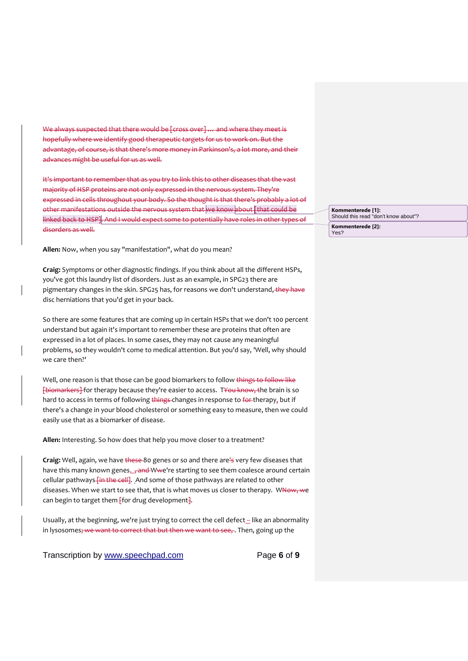We always suspected that there would be [cross over] ... and where they meet is hopefully where we identify good therapeutic targets for us to work on. But the advantage, of course, is that there's more money in Parkinson's, a lot more, and their advances might be useful for us as well.

It's important to remember that as you try to link this to other diseases that the vast majority of HSP proteins are not only expressed in the nervous system. They're expressed in cells throughout your body. So the thought is that there's probably a lot of other manifestations outside the nervous system that we know about [that could be linked back to HSP]. And I would expect some to potentially have roles in other types of disorders as well.

**Allen:** Now, when you say "manifestation", what do you mean?

**Craig:** Symptoms or other diagnostic findings. If you think about all the different HSPs, you've got this laundry list of disorders. Just as an example, in SPG23 there are pigmentary changes in the skin. SPG25 has, for reasons we don't understand, they have disc herniations that you'd get in your back.

So there are some features that are coming up in certain HSPs that we don't 100 percent understand but again it's important to remember these are proteins that often are expressed in a lot of places. In some cases, they may not cause any meaningful problems, so they wouldn't come to medical attention. But you'd say, 'Well, why should we care then?'

Well, one reason is that those can be good biomarkers to follow things to follow like [biomarkers] for therapy because they're easier to access. TYou know, the brain is so hard to access in terms of following things changes in response to for therapy, but if there's a change in your blood cholesterol or something easy to measure, then we could easily use that as a biomarker of disease.

**Allen:** Interesting. So how does that help you move closer to a treatment?

**Craig:** Well, again, we have these 80 genes or so and there are's very few diseases that have this many known genes. <sub>J</sub>and Wwe're starting to see them coalesce around certain cellular pathways-*[in the cell]*. And some of those pathways are related to other diseases. When we start to see that, that is what moves us closer to therapy. WNow, we can begin to target them  $\frac{1}{2}$  for drug development $\frac{1}{2}$ .

Usually, at the beginning, we're just trying to correct the cell defect -- like an abnormality in lysosomes; we want to correct that but then we want to see,. Then, going up the

Transcription by [www.speechpad.com](http://www.speechpad.com/) Page **6** of **9**

**Kommenterede [1]:** Should this read "don't know about"?

**Kommenterede [2]:** Yes?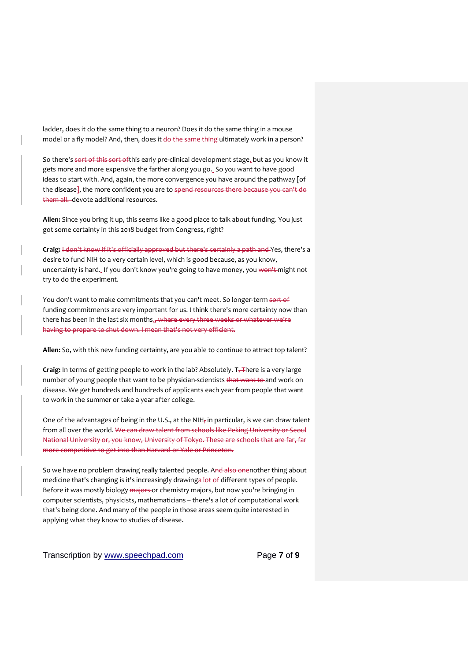ladder, does it do the same thing to a neuron? Does it do the same thing in a mouse model or a fly model? And, then, does it do the same thing ultimately work in a person?

So there's sort of this sort of this early pre-clinical development stage, but as you know it gets more and more expensive the farther along you go. So you want to have good ideas to start with. And, again, the more convergence you have around the pathway-[of the disease<sup>1</sup>, the more confident you are to spend resources there because you can't do them all. devote additional resources.

**Allen:** Since you bring it up, this seems like a good place to talk about funding. You just got some certainty in this 2018 budget from Congress, right?

**Craig:** I don't know if it's officially approved but there's certainly a path and Yes, there's a desire to fund NIH to a very certain level, which is good because, as you know, uncertainty is hard. If you don't know you're going to have money, you won't might not try to do the experiment.

You don't want to make commitments that you can't meet. So longer-term sort of funding commitments are very important for us. I think there's more certainty now than there has been in the last six months., where every three weeks or whatever we're having to prepare to shut down. I mean that's not very efficient.

**Allen:** So, with this new funding certainty, are you able to continue to attract top talent?

Craig: In terms of getting people to work in the lab? Absolutely. T<sub>7</sub>There is a very large number of young people that want to be physician-scientists that want to and work on disease. We get hundreds and hundreds of applicants each year from people that want to work in the summer or take a year after college.

One of the advantages of being in the U.S., at the NIH<sub>7</sub> in particular, is we can draw talent from all over the world. We can draw talent from schools like Peking University or Seoul National University or, you know, University of Tokyo. These are schools that are far, far more competitive to get into than Harvard or Yale or Princeton.

So we have no problem drawing really talented people. And also onenother thing about medicine that's changing is it's increasingly drawinga lot of different types of people. Before it was mostly biology majors or chemistry majors, but now you're bringing in computer scientists, physicists, mathematicians -- there's a lot of computational work that's being done. And many of the people in those areas seem quite interested in applying what they know to studies of disease.

Transcription by [www.speechpad.com](http://www.speechpad.com/) Page **7** of **9**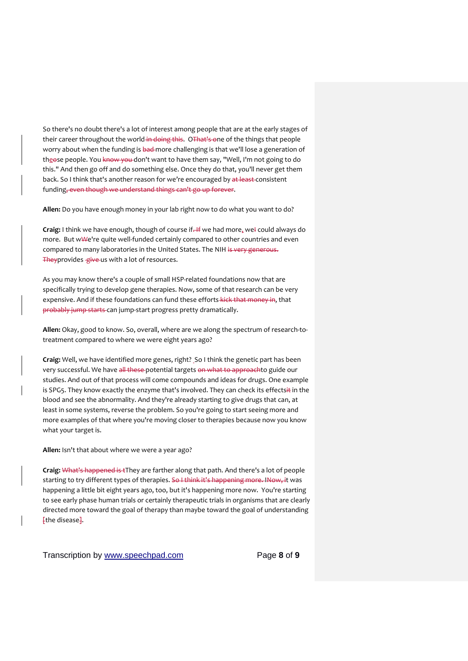So there's no doubt there's a lot of interest among people that are at the early stages of their career throughout the world in doing this. OThat's one of the things that people worry about when the funding is bad-more challenging is that we'll lose a generation of theose people. You know you don't want to have them say, "Well, I'm not going to do this." And then go off and do something else. Once they do that, you'll never get them back. So I think that's another reason for we're encouraged by at least-consistent funding, even though we understand things can't go up forever.

**Allen:** Do you have enough money in your lab right now to do what you want to do?

**Craig:** I think we have enough, though of course if. If we had more, wel could always do more. But wWe're quite well-funded certainly compared to other countries and even compared to many laboratories in the United States. The NIH is very generous. Theyprovides give us with a lot of resources.

As you may know there's a couple of small HSP-related foundations now that are specifically trying to develop gene therapies. Now, some of that research can be very expensive. And if these foundations can fund these efforts kick that money in, that probably jump starts can jump-start progress pretty dramatically.

**Allen:** Okay, good to know. So, overall, where are we along the spectrum of research-totreatment compared to where we were eight years ago?

**Craig:** Well, we have identified more genes, right? So I think the genetic part has been very successful. We have all these potential targets on what to approachto guide our studies. And out of that process will come compounds and ideas for drugs. One example is SPG5. They know exactly the enzyme that's involved. They can check its effectsit in the blood and see the abnormality. And they're already starting to give drugs that can, at least in some systems, reverse the problem. So you're going to start seeing more and more examples of that where you're moving closer to therapies because now you know what your target is.

**Allen:** Isn't that about where we were a year ago?

**Craig:** What's happened is tThey are farther along that path. And there's a lot of people starting to try different types of therapies. So I think it's happening more. INow, it was happening a little bit eight years ago, too, but it's happening more now. You're starting to see early phase human trials or certainly therapeutic trials in organisms that are clearly directed more toward the goal of therapy than maybe toward the goal of understanding Fthe disease-

Transcription by [www.speechpad.com](http://www.speechpad.com/) Page **8** of **9**